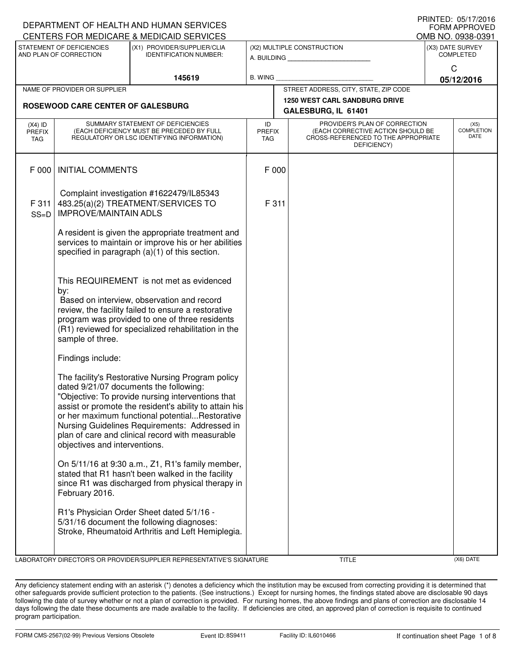| I I III I I LU. VJ/I I / LV I V<br>DEPARTMENT OF HEALTH AND HUMAN SERVICES<br><b>FORM APPROVED</b> |                                                                                                                                                                                                                                                                                   |                                                                                                                                                                                                                                                                                                                                                                   |                                   |                                                                                                                          |                                                             |                                      |                                   |  |
|----------------------------------------------------------------------------------------------------|-----------------------------------------------------------------------------------------------------------------------------------------------------------------------------------------------------------------------------------------------------------------------------------|-------------------------------------------------------------------------------------------------------------------------------------------------------------------------------------------------------------------------------------------------------------------------------------------------------------------------------------------------------------------|-----------------------------------|--------------------------------------------------------------------------------------------------------------------------|-------------------------------------------------------------|--------------------------------------|-----------------------------------|--|
|                                                                                                    |                                                                                                                                                                                                                                                                                   | CENTERS FOR MEDICARE & MEDICAID SERVICES                                                                                                                                                                                                                                                                                                                          |                                   |                                                                                                                          |                                                             |                                      | OMB NO. 0938-0391                 |  |
|                                                                                                    | STATEMENT OF DEFICIENCIES<br>AND PLAN OF CORRECTION                                                                                                                                                                                                                               | (X1) PROVIDER/SUPPLIER/CLIA<br><b>IDENTIFICATION NUMBER:</b>                                                                                                                                                                                                                                                                                                      |                                   |                                                                                                                          | (X2) MULTIPLE CONSTRUCTION<br>A. BUILDING                   | (X3) DATE SURVEY<br><b>COMPLETED</b> |                                   |  |
|                                                                                                    |                                                                                                                                                                                                                                                                                   | 145619                                                                                                                                                                                                                                                                                                                                                            | B. WING                           |                                                                                                                          |                                                             | C<br>05/12/2016                      |                                   |  |
|                                                                                                    | NAME OF PROVIDER OR SUPPLIER                                                                                                                                                                                                                                                      |                                                                                                                                                                                                                                                                                                                                                                   |                                   |                                                                                                                          | STREET ADDRESS, CITY, STATE, ZIP CODE                       |                                      |                                   |  |
|                                                                                                    | ROSEWOOD CARE CENTER OF GALESBURG                                                                                                                                                                                                                                                 |                                                                                                                                                                                                                                                                                                                                                                   |                                   |                                                                                                                          | <b>1250 WEST CARL SANDBURG DRIVE</b><br>GALESBURG, IL 61401 |                                      |                                   |  |
| $(X4)$ ID<br><b>PREFIX</b><br>TAG                                                                  | SUMMARY STATEMENT OF DEFICIENCIES<br>(EACH DEFICIENCY MUST BE PRECEDED BY FULL<br>REGULATORY OR LSC IDENTIFYING INFORMATION)                                                                                                                                                      |                                                                                                                                                                                                                                                                                                                                                                   | ID<br><b>PREFIX</b><br><b>TAG</b> | PROVIDER'S PLAN OF CORRECTION<br>(EACH CORRECTIVE ACTION SHOULD BE<br>CROSS-REFERENCED TO THE APPROPRIATE<br>DEFICIENCY) |                                                             |                                      | (X5)<br><b>COMPLETION</b><br>DATE |  |
| F 000                                                                                              | <b>INITIAL COMMENTS</b>                                                                                                                                                                                                                                                           |                                                                                                                                                                                                                                                                                                                                                                   | F 000                             |                                                                                                                          |                                                             |                                      |                                   |  |
| F 311<br>$SS=D$                                                                                    | <b>IMPROVE/MAINTAIN ADLS</b>                                                                                                                                                                                                                                                      | Complaint investigation #1622479/IL85343<br>483.25(a)(2) TREATMENT/SERVICES TO                                                                                                                                                                                                                                                                                    | F 311                             |                                                                                                                          |                                                             |                                      |                                   |  |
|                                                                                                    |                                                                                                                                                                                                                                                                                   | A resident is given the appropriate treatment and<br>services to maintain or improve his or her abilities<br>specified in paragraph (a)(1) of this section.                                                                                                                                                                                                       |                                   |                                                                                                                          |                                                             |                                      |                                   |  |
|                                                                                                    | This REQUIREMENT is not met as evidenced<br>by:<br>Based on interview, observation and record<br>review, the facility failed to ensure a restorative<br>program was provided to one of three residents<br>(R1) reviewed for specialized rehabilitation in the<br>sample of three. |                                                                                                                                                                                                                                                                                                                                                                   |                                   |                                                                                                                          |                                                             |                                      |                                   |  |
|                                                                                                    | Findings include:                                                                                                                                                                                                                                                                 |                                                                                                                                                                                                                                                                                                                                                                   |                                   |                                                                                                                          |                                                             |                                      |                                   |  |
|                                                                                                    | objectives and interventions.                                                                                                                                                                                                                                                     | The facility's Restorative Nursing Program policy<br>dated 9/21/07 documents the following:<br>"Objective: To provide nursing interventions that<br>assist or promote the resident's ability to attain his<br>or her maximum functional potentialRestorative<br>Nursing Guidelines Requirements: Addressed in<br>plan of care and clinical record with measurable |                                   |                                                                                                                          |                                                             |                                      |                                   |  |
|                                                                                                    | February 2016.                                                                                                                                                                                                                                                                    | On 5/11/16 at 9:30 a.m., Z1, R1's family member,<br>stated that R1 hasn't been walked in the facility<br>since R1 was discharged from physical therapy in                                                                                                                                                                                                         |                                   |                                                                                                                          |                                                             |                                      |                                   |  |
|                                                                                                    |                                                                                                                                                                                                                                                                                   | R1's Physician Order Sheet dated 5/1/16 -<br>5/31/16 document the following diagnoses:<br>Stroke, Rheumatoid Arthritis and Left Hemiplegia.                                                                                                                                                                                                                       |                                   |                                                                                                                          |                                                             |                                      |                                   |  |
|                                                                                                    |                                                                                                                                                                                                                                                                                   | LABORATORY DIRECTOR'S OR PROVIDER/SUPPLIER REPRESENTATIVE'S SIGNATURE                                                                                                                                                                                                                                                                                             |                                   |                                                                                                                          | TITLE                                                       |                                      | (X6) DATE                         |  |

Any deficiency statement ending with an asterisk (\*) denotes a deficiency which the institution may be excused from correcting providing it is determined that other safeguards provide sufficient protection to the patients. (See instructions.) Except for nursing homes, the findings stated above are disclosable 90 days following the date of survey whether or not a plan of correction is provided. For nursing homes, the above findings and plans of correction are disclosable 14 days following the date these documents are made available to the facility. If deficiencies are cited, an approved plan of correction is requisite to continued program participation.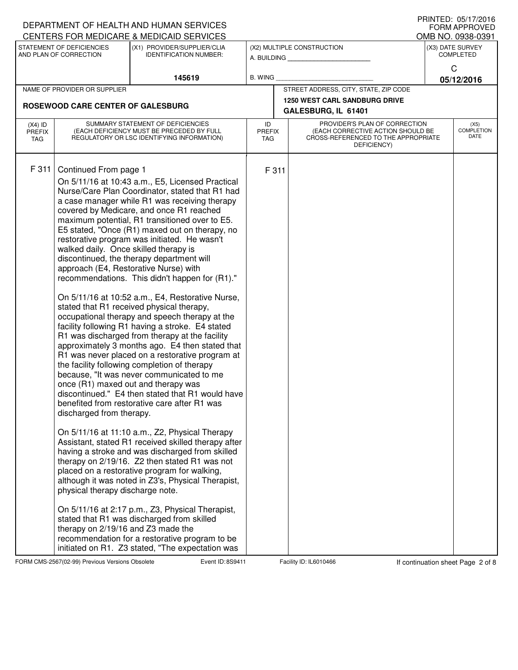|                                   |                                                                                                                                                                                                             | DEPARTMENT OF HEALTH AND HUMAN SERVICES                                                                                                                                                                                                                                                                                                                                                                                                                                                                                                                                                                                                                                                                                                                                                                                                                                                                                                                                                                                                                                                                                                                                                                                                                                                                                                                                                                                                                                                                                                                                                 |                |                                                                                                                                                         |                                                             |                                       | I I III I I LU. VJ/I I / LV I V<br><b>FORM APPROVED</b> |  |
|-----------------------------------|-------------------------------------------------------------------------------------------------------------------------------------------------------------------------------------------------------------|-----------------------------------------------------------------------------------------------------------------------------------------------------------------------------------------------------------------------------------------------------------------------------------------------------------------------------------------------------------------------------------------------------------------------------------------------------------------------------------------------------------------------------------------------------------------------------------------------------------------------------------------------------------------------------------------------------------------------------------------------------------------------------------------------------------------------------------------------------------------------------------------------------------------------------------------------------------------------------------------------------------------------------------------------------------------------------------------------------------------------------------------------------------------------------------------------------------------------------------------------------------------------------------------------------------------------------------------------------------------------------------------------------------------------------------------------------------------------------------------------------------------------------------------------------------------------------------------|----------------|---------------------------------------------------------------------------------------------------------------------------------------------------------|-------------------------------------------------------------|---------------------------------------|---------------------------------------------------------|--|
|                                   | STATEMENT OF DEFICIENCIES                                                                                                                                                                                   | CENTERS FOR MEDICARE & MEDICAID SERVICES<br>(X1) PROVIDER/SUPPLIER/CLIA                                                                                                                                                                                                                                                                                                                                                                                                                                                                                                                                                                                                                                                                                                                                                                                                                                                                                                                                                                                                                                                                                                                                                                                                                                                                                                                                                                                                                                                                                                                 |                |                                                                                                                                                         | (X2) MULTIPLE CONSTRUCTION                                  | OMB NO. 0938-0391<br>(X3) DATE SURVEY |                                                         |  |
|                                   | AND PLAN OF CORRECTION                                                                                                                                                                                      | <b>IDENTIFICATION NUMBER:</b>                                                                                                                                                                                                                                                                                                                                                                                                                                                                                                                                                                                                                                                                                                                                                                                                                                                                                                                                                                                                                                                                                                                                                                                                                                                                                                                                                                                                                                                                                                                                                           |                |                                                                                                                                                         | A. BUILDING <b>A.</b> BUILDING                              | <b>COMPLETED</b>                      |                                                         |  |
|                                   |                                                                                                                                                                                                             |                                                                                                                                                                                                                                                                                                                                                                                                                                                                                                                                                                                                                                                                                                                                                                                                                                                                                                                                                                                                                                                                                                                                                                                                                                                                                                                                                                                                                                                                                                                                                                                         |                |                                                                                                                                                         |                                                             | C                                     |                                                         |  |
|                                   |                                                                                                                                                                                                             | 145619                                                                                                                                                                                                                                                                                                                                                                                                                                                                                                                                                                                                                                                                                                                                                                                                                                                                                                                                                                                                                                                                                                                                                                                                                                                                                                                                                                                                                                                                                                                                                                                  | <b>B. WING</b> |                                                                                                                                                         |                                                             |                                       | 05/12/2016                                              |  |
|                                   | NAME OF PROVIDER OR SUPPLIER                                                                                                                                                                                |                                                                                                                                                                                                                                                                                                                                                                                                                                                                                                                                                                                                                                                                                                                                                                                                                                                                                                                                                                                                                                                                                                                                                                                                                                                                                                                                                                                                                                                                                                                                                                                         |                |                                                                                                                                                         | STREET ADDRESS, CITY, STATE, ZIP CODE                       |                                       |                                                         |  |
|                                   | ROSEWOOD CARE CENTER OF GALESBURG                                                                                                                                                                           |                                                                                                                                                                                                                                                                                                                                                                                                                                                                                                                                                                                                                                                                                                                                                                                                                                                                                                                                                                                                                                                                                                                                                                                                                                                                                                                                                                                                                                                                                                                                                                                         |                |                                                                                                                                                         | <b>1250 WEST CARL SANDBURG DRIVE</b><br>GALESBURG, IL 61401 |                                       |                                                         |  |
| $(X4)$ ID<br><b>PREFIX</b><br>TAG | SUMMARY STATEMENT OF DEFICIENCIES<br>(EACH DEFICIENCY MUST BE PRECEDED BY FULL<br>REGULATORY OR LSC IDENTIFYING INFORMATION)                                                                                |                                                                                                                                                                                                                                                                                                                                                                                                                                                                                                                                                                                                                                                                                                                                                                                                                                                                                                                                                                                                                                                                                                                                                                                                                                                                                                                                                                                                                                                                                                                                                                                         | ID             | PROVIDER'S PLAN OF CORRECTION<br>(EACH CORRECTIVE ACTION SHOULD BE<br><b>PREFIX</b><br>CROSS-REFERENCED TO THE APPROPRIATE<br><b>TAG</b><br>DEFICIENCY) |                                                             |                                       | (X5)<br><b>COMPLETION</b><br>DATE                       |  |
| F 311                             | Continued From page 1<br>walked daily. Once skilled therapy is<br>once (R1) maxed out and therapy was<br>discharged from therapy.<br>physical therapy discharge note.<br>therapy on 2/19/16 and Z3 made the | On 5/11/16 at 10:43 a.m., E5, Licensed Practical<br>Nurse/Care Plan Coordinator, stated that R1 had<br>a case manager while R1 was receiving therapy<br>covered by Medicare, and once R1 reached<br>maximum potential, R1 transitioned over to E5.<br>E5 stated, "Once (R1) maxed out on therapy, no<br>restorative program was initiated. He wasn't<br>discontinued, the therapy department will<br>approach (E4, Restorative Nurse) with<br>recommendations. This didn't happen for (R1)."<br>On 5/11/16 at 10:52 a.m., E4, Restorative Nurse,<br>stated that R1 received physical therapy,<br>occupational therapy and speech therapy at the<br>facility following R1 having a stroke. E4 stated<br>R1 was discharged from therapy at the facility<br>approximately 3 months ago. E4 then stated that<br>R1 was never placed on a restorative program at<br>the facility following completion of therapy<br>because, "It was never communicated to me<br>discontinued." E4 then stated that R1 would have<br>benefited from restorative care after R1 was<br>On 5/11/16 at 11:10 a.m., Z2, Physical Therapy<br>Assistant, stated R1 received skilled therapy after<br>having a stroke and was discharged from skilled<br>therapy on 2/19/16. Z2 then stated R1 was not<br>placed on a restorative program for walking,<br>although it was noted in Z3's, Physical Therapist,<br>On 5/11/16 at 2:17 p.m., Z3, Physical Therapist,<br>stated that R1 was discharged from skilled<br>recommendation for a restorative program to be<br>initiated on R1. Z3 stated, "The expectation was |                | F 311                                                                                                                                                   |                                                             |                                       |                                                         |  |

FORM CMS-2567(02-99) Previous Versions Obsolete **8th Event ID: 8S9411** Facility ID: IL6010466 If continuation sheet Page 2 of 8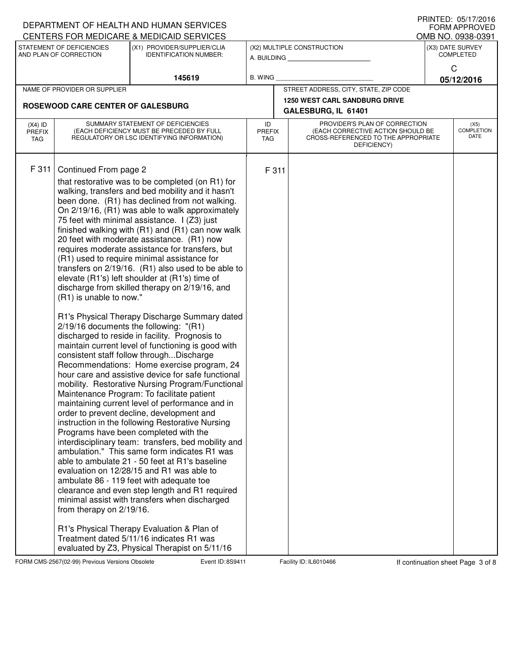| STATEMENT OF DEFICIENCIES<br>(X3) DATE SURVEY<br>(X1) PROVIDER/SUPPLIER/CLIA<br>(X2) MULTIPLE CONSTRUCTION<br>AND PLAN OF CORRECTION<br><b>IDENTIFICATION NUMBER:</b><br><b>COMPLETED</b><br>A. BUILDING<br>C<br><b>B. WING</b><br>145619<br>05/12/2016<br>STREET ADDRESS, CITY, STATE, ZIP CODE<br>NAME OF PROVIDER OR SUPPLIER<br><b>1250 WEST CARL SANDBURG DRIVE</b><br>ROSEWOOD CARE CENTER OF GALESBURG<br>GALESBURG, IL 61401<br>PROVIDER'S PLAN OF CORRECTION<br>SUMMARY STATEMENT OF DEFICIENCIES<br>ID<br>(X5)<br>$(X4)$ ID<br>(EACH DEFICIENCY MUST BE PRECEDED BY FULL<br>(EACH CORRECTIVE ACTION SHOULD BE<br><b>PREFIX</b><br><b>PREFIX</b><br>DATE<br>REGULATORY OR LSC IDENTIFYING INFORMATION)<br>CROSS-REFERENCED TO THE APPROPRIATE<br>TAG<br>TAG<br>DEFICIENCY)<br>F 311<br>Continued From page 2<br>F 311<br>that restorative was to be completed (on R1) for<br>walking, transfers and bed mobility and it hasn't<br>been done. (R1) has declined from not walking.<br>On 2/19/16, (R1) was able to walk approximately<br>75 feet with minimal assistance. I (Z3) just<br>finished walking with (R1) and (R1) can now walk<br>20 feet with moderate assistance. (R1) now<br>requires moderate assistance for transfers, but<br>(R1) used to require minimal assistance for<br>transfers on 2/19/16. (R1) also used to be able to<br>elevate (R1's) left shoulder at (R1's) time of<br>discharge from skilled therapy on 2/19/16, and<br>(R1) is unable to now."<br>R1's Physical Therapy Discharge Summary dated<br>2/19/16 documents the following: "(R1)<br>discharged to reside in facility. Prognosis to<br>maintain current level of functioning is good with<br>consistent staff follow throughDischarge<br>Recommendations: Home exercise program, 24<br>hour care and assistive device for safe functional<br>mobility. Restorative Nursing Program/Functional<br>Maintenance Program: To facilitate patient<br>maintaining current level of performance and in<br>order to prevent decline, development and<br>instruction in the following Restorative Nursing<br>Programs have been completed with the<br>interdisciplinary team: transfers, bed mobility and<br>ambulation." This same form indicates R1 was<br>able to ambulate 21 - 50 feet at R1's baseline<br>evaluation on 12/28/15 and R1 was able to<br>ambulate 86 - 119 feet with adequate toe<br>clearance and even step length and R1 required<br>minimal assist with transfers when discharged<br>from therapy on 2/19/16.<br>R1's Physical Therapy Evaluation & Plan of |                                          |  | DEPARTMENT OF HEALTH AND HUMAN SERVICES |  | $F \cap \mathbb{N}$ i $E \cup \ldots \cup \cup \cup \cup \cup \cup \cup \cup \cup$<br><b>FORM APPROVED</b> |                   |
|------------------------------------------------------------------------------------------------------------------------------------------------------------------------------------------------------------------------------------------------------------------------------------------------------------------------------------------------------------------------------------------------------------------------------------------------------------------------------------------------------------------------------------------------------------------------------------------------------------------------------------------------------------------------------------------------------------------------------------------------------------------------------------------------------------------------------------------------------------------------------------------------------------------------------------------------------------------------------------------------------------------------------------------------------------------------------------------------------------------------------------------------------------------------------------------------------------------------------------------------------------------------------------------------------------------------------------------------------------------------------------------------------------------------------------------------------------------------------------------------------------------------------------------------------------------------------------------------------------------------------------------------------------------------------------------------------------------------------------------------------------------------------------------------------------------------------------------------------------------------------------------------------------------------------------------------------------------------------------------------------------------------------------------------------------------------------------------------------------------------------------------------------------------------------------------------------------------------------------------------------------------------------------------------------------------------------------------------------------------------------------------------------------------------------------------------------------------------------------------------------------------------------------------------------------------------|------------------------------------------|--|-----------------------------------------|--|------------------------------------------------------------------------------------------------------------|-------------------|
|                                                                                                                                                                                                                                                                                                                                                                                                                                                                                                                                                                                                                                                                                                                                                                                                                                                                                                                                                                                                                                                                                                                                                                                                                                                                                                                                                                                                                                                                                                                                                                                                                                                                                                                                                                                                                                                                                                                                                                                                                                                                                                                                                                                                                                                                                                                                                                                                                                                                                                                                                                        | CENTERS FOR MEDICARE & MEDICAID SERVICES |  |                                         |  | OMB NO. 0938-0391                                                                                          |                   |
|                                                                                                                                                                                                                                                                                                                                                                                                                                                                                                                                                                                                                                                                                                                                                                                                                                                                                                                                                                                                                                                                                                                                                                                                                                                                                                                                                                                                                                                                                                                                                                                                                                                                                                                                                                                                                                                                                                                                                                                                                                                                                                                                                                                                                                                                                                                                                                                                                                                                                                                                                                        |                                          |  |                                         |  |                                                                                                            |                   |
|                                                                                                                                                                                                                                                                                                                                                                                                                                                                                                                                                                                                                                                                                                                                                                                                                                                                                                                                                                                                                                                                                                                                                                                                                                                                                                                                                                                                                                                                                                                                                                                                                                                                                                                                                                                                                                                                                                                                                                                                                                                                                                                                                                                                                                                                                                                                                                                                                                                                                                                                                                        |                                          |  |                                         |  |                                                                                                            |                   |
|                                                                                                                                                                                                                                                                                                                                                                                                                                                                                                                                                                                                                                                                                                                                                                                                                                                                                                                                                                                                                                                                                                                                                                                                                                                                                                                                                                                                                                                                                                                                                                                                                                                                                                                                                                                                                                                                                                                                                                                                                                                                                                                                                                                                                                                                                                                                                                                                                                                                                                                                                                        |                                          |  |                                         |  |                                                                                                            |                   |
|                                                                                                                                                                                                                                                                                                                                                                                                                                                                                                                                                                                                                                                                                                                                                                                                                                                                                                                                                                                                                                                                                                                                                                                                                                                                                                                                                                                                                                                                                                                                                                                                                                                                                                                                                                                                                                                                                                                                                                                                                                                                                                                                                                                                                                                                                                                                                                                                                                                                                                                                                                        |                                          |  |                                         |  |                                                                                                            |                   |
|                                                                                                                                                                                                                                                                                                                                                                                                                                                                                                                                                                                                                                                                                                                                                                                                                                                                                                                                                                                                                                                                                                                                                                                                                                                                                                                                                                                                                                                                                                                                                                                                                                                                                                                                                                                                                                                                                                                                                                                                                                                                                                                                                                                                                                                                                                                                                                                                                                                                                                                                                                        |                                          |  |                                         |  |                                                                                                            | <b>COMPLETION</b> |
| Treatment dated 5/11/16 indicates R1 was<br>evaluated by Z3, Physical Therapist on 5/11/16                                                                                                                                                                                                                                                                                                                                                                                                                                                                                                                                                                                                                                                                                                                                                                                                                                                                                                                                                                                                                                                                                                                                                                                                                                                                                                                                                                                                                                                                                                                                                                                                                                                                                                                                                                                                                                                                                                                                                                                                                                                                                                                                                                                                                                                                                                                                                                                                                                                                             |                                          |  |                                         |  |                                                                                                            |                   |

FORM CMS-2567(02-99) Previous Versions Obsolete **8th Event ID: 8S9411** Facility ID: IL6010466 If continuation sheet Page 3 of 8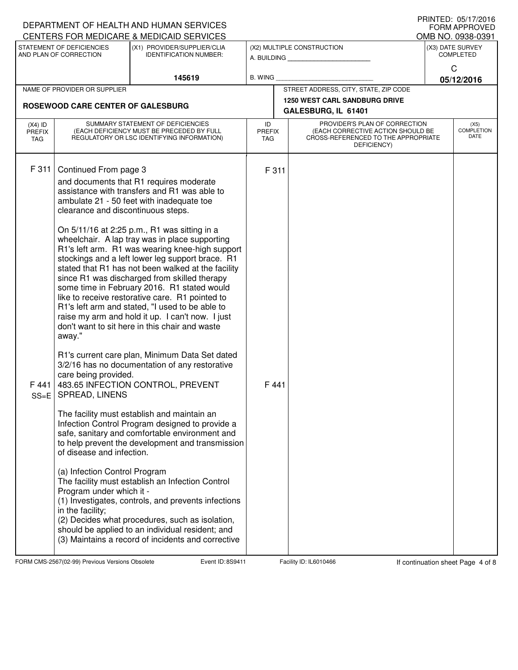| CENTERS FOR MEDICARE & MEDICAID SERVICES<br>STATEMENT OF DEFICIENCIES<br>(X1) PROVIDER/SUPPLIER/CLIA<br>(X2) MULTIPLE CONSTRUCTION<br>AND PLAN OF CORRECTION<br><b>IDENTIFICATION NUMBER:</b><br>A. BUILDING                                                                                                                                                                                                                                                                                                                                                                                                                                                                                                                                                                                                                                                                                                                                                                                                                                                                                                                                                                                                                                                                                                                                                                                                                                                                                                                                                                                                                  |                                                                                                                          | OMB NO. 0938-0391<br>(X3) DATE SURVEY |  |
|-------------------------------------------------------------------------------------------------------------------------------------------------------------------------------------------------------------------------------------------------------------------------------------------------------------------------------------------------------------------------------------------------------------------------------------------------------------------------------------------------------------------------------------------------------------------------------------------------------------------------------------------------------------------------------------------------------------------------------------------------------------------------------------------------------------------------------------------------------------------------------------------------------------------------------------------------------------------------------------------------------------------------------------------------------------------------------------------------------------------------------------------------------------------------------------------------------------------------------------------------------------------------------------------------------------------------------------------------------------------------------------------------------------------------------------------------------------------------------------------------------------------------------------------------------------------------------------------------------------------------------|--------------------------------------------------------------------------------------------------------------------------|---------------------------------------|--|
|                                                                                                                                                                                                                                                                                                                                                                                                                                                                                                                                                                                                                                                                                                                                                                                                                                                                                                                                                                                                                                                                                                                                                                                                                                                                                                                                                                                                                                                                                                                                                                                                                               |                                                                                                                          | <b>COMPLETED</b>                      |  |
| <b>B. WING</b><br>145619                                                                                                                                                                                                                                                                                                                                                                                                                                                                                                                                                                                                                                                                                                                                                                                                                                                                                                                                                                                                                                                                                                                                                                                                                                                                                                                                                                                                                                                                                                                                                                                                      |                                                                                                                          | C<br>05/12/2016                       |  |
| NAME OF PROVIDER OR SUPPLIER                                                                                                                                                                                                                                                                                                                                                                                                                                                                                                                                                                                                                                                                                                                                                                                                                                                                                                                                                                                                                                                                                                                                                                                                                                                                                                                                                                                                                                                                                                                                                                                                  | STREET ADDRESS, CITY, STATE, ZIP CODE                                                                                    |                                       |  |
| ROSEWOOD CARE CENTER OF GALESBURG                                                                                                                                                                                                                                                                                                                                                                                                                                                                                                                                                                                                                                                                                                                                                                                                                                                                                                                                                                                                                                                                                                                                                                                                                                                                                                                                                                                                                                                                                                                                                                                             | <b>1250 WEST CARL SANDBURG DRIVE</b>                                                                                     |                                       |  |
|                                                                                                                                                                                                                                                                                                                                                                                                                                                                                                                                                                                                                                                                                                                                                                                                                                                                                                                                                                                                                                                                                                                                                                                                                                                                                                                                                                                                                                                                                                                                                                                                                               | GALESBURG, IL 61401                                                                                                      |                                       |  |
| SUMMARY STATEMENT OF DEFICIENCIES<br>ID<br>$(X4)$ ID<br>(EACH DEFICIENCY MUST BE PRECEDED BY FULL<br><b>PREFIX</b><br><b>PREFIX</b><br>REGULATORY OR LSC IDENTIFYING INFORMATION)<br>TAG<br>TAG                                                                                                                                                                                                                                                                                                                                                                                                                                                                                                                                                                                                                                                                                                                                                                                                                                                                                                                                                                                                                                                                                                                                                                                                                                                                                                                                                                                                                               | PROVIDER'S PLAN OF CORRECTION<br>(EACH CORRECTIVE ACTION SHOULD BE<br>CROSS-REFERENCED TO THE APPROPRIATE<br>DEFICIENCY) |                                       |  |
| F 311<br>Continued From page 3<br>F 311<br>and documents that R1 requires moderate<br>assistance with transfers and R1 was able to<br>ambulate 21 - 50 feet with inadequate toe<br>clearance and discontinuous steps.<br>On 5/11/16 at 2:25 p.m., R1 was sitting in a<br>wheelchair. A lap tray was in place supporting<br>R1's left arm. R1 was wearing knee-high support<br>stockings and a left lower leg support brace. R1<br>stated that R1 has not been walked at the facility<br>since R1 was discharged from skilled therapy<br>some time in February 2016. R1 stated would<br>like to receive restorative care. R1 pointed to<br>R1's left arm and stated, "I used to be able to<br>raise my arm and hold it up. I can't now. I just<br>don't want to sit here in this chair and waste<br>away."<br>R1's current care plan, Minimum Data Set dated<br>3/2/16 has no documentation of any restorative<br>care being provided.<br>483.65 INFECTION CONTROL, PREVENT<br>F 441<br>F 441<br><b>SPREAD, LINENS</b><br>$SS=E$<br>The facility must establish and maintain an<br>Infection Control Program designed to provide a<br>safe, sanitary and comfortable environment and<br>to help prevent the development and transmission<br>of disease and infection.<br>(a) Infection Control Program<br>The facility must establish an Infection Control<br>Program under which it -<br>(1) Investigates, controls, and prevents infections<br>in the facility;<br>(2) Decides what procedures, such as isolation,<br>should be applied to an individual resident; and<br>(3) Maintains a record of incidents and corrective |                                                                                                                          |                                       |  |

FORM CMS-2567(02-99) Previous Versions Obsolete **8th Event ID: 8S9411** Facility ID: IL6010466 If continuation sheet Page 4 of 8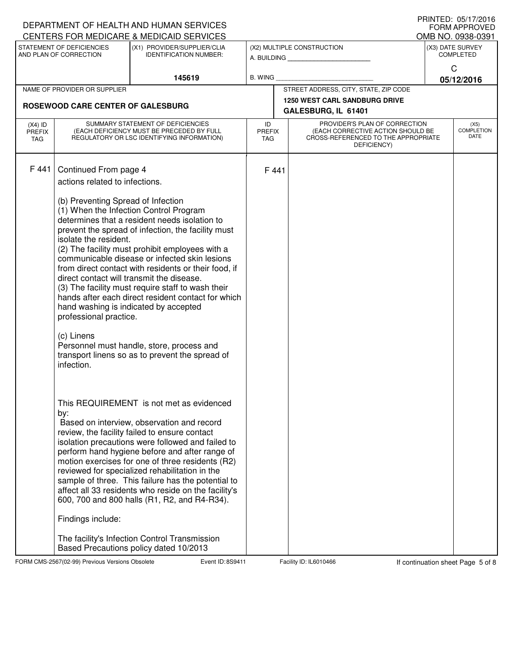|                              |                                                                                         | DEPARTMENT OF HEALTH AND HUMAN SERVICES<br>CENTERS FOR MEDICARE & MEDICAID SERVICES                        |                                                                                                         |  |                                       |                           | PRINTED: 05/17/2016<br><b>FORM APPROVED</b> |  |
|------------------------------|-----------------------------------------------------------------------------------------|------------------------------------------------------------------------------------------------------------|---------------------------------------------------------------------------------------------------------|--|---------------------------------------|---------------------------|---------------------------------------------|--|
|                              | STATEMENT OF DEFICIENCIES                                                               | (X1) PROVIDER/SUPPLIER/CLIA                                                                                |                                                                                                         |  | (X2) MULTIPLE CONSTRUCTION            |                           | OMB NO. 0938-0391<br>(X3) DATE SURVEY       |  |
|                              | AND PLAN OF CORRECTION                                                                  | <b>IDENTIFICATION NUMBER:</b>                                                                              |                                                                                                         |  |                                       | <b>COMPLETED</b>          |                                             |  |
|                              |                                                                                         |                                                                                                            |                                                                                                         |  |                                       |                           | C                                           |  |
|                              |                                                                                         | 145619                                                                                                     | <b>B. WING</b>                                                                                          |  | STREET ADDRESS, CITY, STATE, ZIP CODE |                           | 05/12/2016                                  |  |
| NAME OF PROVIDER OR SUPPLIER |                                                                                         |                                                                                                            |                                                                                                         |  | <b>1250 WEST CARL SANDBURG DRIVE</b>  |                           |                                             |  |
|                              | ROSEWOOD CARE CENTER OF GALESBURG                                                       |                                                                                                            |                                                                                                         |  | GALESBURG, IL 61401                   |                           |                                             |  |
| $(X4)$ ID                    | SUMMARY STATEMENT OF DEFICIENCIES                                                       |                                                                                                            | ID                                                                                                      |  | PROVIDER'S PLAN OF CORRECTION         |                           | (X5)                                        |  |
| <b>PREFIX</b><br>TAG         | (EACH DEFICIENCY MUST BE PRECEDED BY FULL<br>REGULATORY OR LSC IDENTIFYING INFORMATION) |                                                                                                            | <b>PREFIX</b><br>(EACH CORRECTIVE ACTION SHOULD BE<br>CROSS-REFERENCED TO THE APPROPRIATE<br><b>TAG</b> |  |                                       | <b>COMPLETION</b><br>DATE |                                             |  |
|                              |                                                                                         |                                                                                                            |                                                                                                         |  | DEFICIENCY)                           |                           |                                             |  |
| F 441                        |                                                                                         |                                                                                                            |                                                                                                         |  |                                       |                           |                                             |  |
|                              | Continued From page 4<br>actions related to infections.                                 |                                                                                                            | F 441                                                                                                   |  |                                       |                           |                                             |  |
|                              |                                                                                         |                                                                                                            |                                                                                                         |  |                                       |                           |                                             |  |
|                              | (b) Preventing Spread of Infection                                                      |                                                                                                            |                                                                                                         |  |                                       |                           |                                             |  |
|                              |                                                                                         | (1) When the Infection Control Program<br>determines that a resident needs isolation to                    |                                                                                                         |  |                                       |                           |                                             |  |
|                              |                                                                                         | prevent the spread of infection, the facility must                                                         |                                                                                                         |  |                                       |                           |                                             |  |
|                              | isolate the resident.                                                                   |                                                                                                            |                                                                                                         |  |                                       |                           |                                             |  |
|                              |                                                                                         | (2) The facility must prohibit employees with a                                                            |                                                                                                         |  |                                       |                           |                                             |  |
|                              |                                                                                         | communicable disease or infected skin lesions<br>from direct contact with residents or their food, if      |                                                                                                         |  |                                       |                           |                                             |  |
|                              |                                                                                         | direct contact will transmit the disease.                                                                  |                                                                                                         |  |                                       |                           |                                             |  |
|                              |                                                                                         | (3) The facility must require staff to wash their                                                          |                                                                                                         |  |                                       |                           |                                             |  |
|                              |                                                                                         | hands after each direct resident contact for which<br>hand washing is indicated by accepted                |                                                                                                         |  |                                       |                           |                                             |  |
|                              | professional practice.                                                                  |                                                                                                            |                                                                                                         |  |                                       |                           |                                             |  |
|                              | (c) Linens                                                                              |                                                                                                            |                                                                                                         |  |                                       |                           |                                             |  |
|                              |                                                                                         | Personnel must handle, store, process and                                                                  |                                                                                                         |  |                                       |                           |                                             |  |
|                              | infection.                                                                              | transport linens so as to prevent the spread of                                                            |                                                                                                         |  |                                       |                           |                                             |  |
|                              |                                                                                         |                                                                                                            |                                                                                                         |  |                                       |                           |                                             |  |
|                              |                                                                                         |                                                                                                            |                                                                                                         |  |                                       |                           |                                             |  |
|                              |                                                                                         | This REQUIREMENT is not met as evidenced                                                                   |                                                                                                         |  |                                       |                           |                                             |  |
|                              | by:                                                                                     |                                                                                                            |                                                                                                         |  |                                       |                           |                                             |  |
|                              |                                                                                         | Based on interview, observation and record                                                                 |                                                                                                         |  |                                       |                           |                                             |  |
|                              |                                                                                         | review, the facility failed to ensure contact                                                              |                                                                                                         |  |                                       |                           |                                             |  |
|                              |                                                                                         | isolation precautions were followed and failed to<br>perform hand hygiene before and after range of        |                                                                                                         |  |                                       |                           |                                             |  |
|                              |                                                                                         | motion exercises for one of three residents (R2)                                                           |                                                                                                         |  |                                       |                           |                                             |  |
|                              |                                                                                         | reviewed for specialized rehabilitation in the                                                             |                                                                                                         |  |                                       |                           |                                             |  |
|                              |                                                                                         | sample of three. This failure has the potential to<br>affect all 33 residents who reside on the facility's |                                                                                                         |  |                                       |                           |                                             |  |
|                              |                                                                                         | 600, 700 and 800 halls (R1, R2, and R4-R34).                                                               |                                                                                                         |  |                                       |                           |                                             |  |
|                              | Findings include:                                                                       |                                                                                                            |                                                                                                         |  |                                       |                           |                                             |  |
|                              |                                                                                         | The facility's Infection Control Transmission                                                              |                                                                                                         |  |                                       |                           |                                             |  |
|                              |                                                                                         | Based Precautions policy dated 10/2013                                                                     |                                                                                                         |  |                                       |                           |                                             |  |

FORM CMS-2567(02-99) Previous Versions Obsolete **8. Event ID: 8S9411** Facility ID: IL6010466 If continuation sheet Page 5 of 8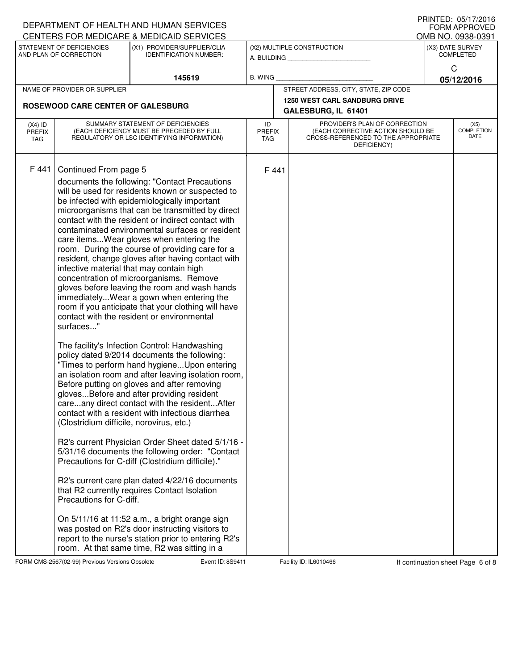|                                                                                                                                |                                                                                         | DEPARTMENT OF HEALTH AND HUMAN SERVICES                                                                 |                |                                                                                                                 |                                                             |                                       | FRINTED. U3/17/2010<br><b>FORM APPROVED</b> |  |
|--------------------------------------------------------------------------------------------------------------------------------|-----------------------------------------------------------------------------------------|---------------------------------------------------------------------------------------------------------|----------------|-----------------------------------------------------------------------------------------------------------------|-------------------------------------------------------------|---------------------------------------|---------------------------------------------|--|
| CENTERS FOR MEDICARE & MEDICAID SERVICES<br>STATEMENT OF DEFICIENCIES<br>(X1) PROVIDER/SUPPLIER/CLIA<br>AND PLAN OF CORRECTION |                                                                                         |                                                                                                         |                |                                                                                                                 | (X2) MULTIPLE CONSTRUCTION                                  | OMB NO. 0938-0391<br>(X3) DATE SURVEY |                                             |  |
|                                                                                                                                |                                                                                         | <b>IDENTIFICATION NUMBER:</b>                                                                           |                |                                                                                                                 | A. BUILDING <b>A.</b> BUILDING                              | <b>COMPLETED</b>                      |                                             |  |
|                                                                                                                                |                                                                                         | 145619                                                                                                  | <b>B. WING</b> |                                                                                                                 |                                                             |                                       | C<br>05/12/2016                             |  |
|                                                                                                                                | NAME OF PROVIDER OR SUPPLIER                                                            |                                                                                                         |                |                                                                                                                 | STREET ADDRESS, CITY, STATE, ZIP CODE                       |                                       |                                             |  |
|                                                                                                                                | ROSEWOOD CARE CENTER OF GALESBURG                                                       |                                                                                                         |                |                                                                                                                 | <b>1250 WEST CARL SANDBURG DRIVE</b><br>GALESBURG, IL 61401 |                                       |                                             |  |
| $(X4)$ ID                                                                                                                      | SUMMARY STATEMENT OF DEFICIENCIES                                                       |                                                                                                         | ID             |                                                                                                                 | PROVIDER'S PLAN OF CORRECTION                               | (X5)                                  |                                             |  |
| <b>PREFIX</b><br>TAG                                                                                                           | (EACH DEFICIENCY MUST BE PRECEDED BY FULL<br>REGULATORY OR LSC IDENTIFYING INFORMATION) |                                                                                                         |                | (EACH CORRECTIVE ACTION SHOULD BE<br><b>PREFIX</b><br>CROSS-REFERENCED TO THE APPROPRIATE<br>TAG<br>DEFICIENCY) |                                                             |                                       | <b>COMPLETION</b><br>DATE                   |  |
| F 441                                                                                                                          | Continued From page 5                                                                   |                                                                                                         | F 441          |                                                                                                                 |                                                             |                                       |                                             |  |
|                                                                                                                                |                                                                                         | documents the following: "Contact Precautions                                                           |                |                                                                                                                 |                                                             |                                       |                                             |  |
|                                                                                                                                |                                                                                         | will be used for residents known or suspected to                                                        |                |                                                                                                                 |                                                             |                                       |                                             |  |
|                                                                                                                                |                                                                                         | be infected with epidemiologically important<br>microorganisms that can be transmitted by direct        |                |                                                                                                                 |                                                             |                                       |                                             |  |
|                                                                                                                                |                                                                                         | contact with the resident or indirect contact with                                                      |                |                                                                                                                 |                                                             |                                       |                                             |  |
|                                                                                                                                |                                                                                         | contaminated environmental surfaces or resident<br>care items Wear gloves when entering the             |                |                                                                                                                 |                                                             |                                       |                                             |  |
|                                                                                                                                |                                                                                         | room. During the course of providing care for a                                                         |                |                                                                                                                 |                                                             |                                       |                                             |  |
|                                                                                                                                |                                                                                         | resident, change gloves after having contact with<br>infective material that may contain high           |                |                                                                                                                 |                                                             |                                       |                                             |  |
|                                                                                                                                |                                                                                         | concentration of microorganisms. Remove                                                                 |                |                                                                                                                 |                                                             |                                       |                                             |  |
|                                                                                                                                |                                                                                         | gloves before leaving the room and wash hands<br>immediatelyWear a gown when entering the               |                |                                                                                                                 |                                                             |                                       |                                             |  |
|                                                                                                                                |                                                                                         | room if you anticipate that your clothing will have                                                     |                |                                                                                                                 |                                                             |                                       |                                             |  |
|                                                                                                                                | surfaces"                                                                               | contact with the resident or environmental                                                              |                |                                                                                                                 |                                                             |                                       |                                             |  |
|                                                                                                                                |                                                                                         |                                                                                                         |                |                                                                                                                 |                                                             |                                       |                                             |  |
|                                                                                                                                |                                                                                         | The facility's Infection Control: Handwashing<br>policy dated 9/2014 documents the following:           |                |                                                                                                                 |                                                             |                                       |                                             |  |
|                                                                                                                                |                                                                                         | "Times to perform hand hygieneUpon entering                                                             |                |                                                                                                                 |                                                             |                                       |                                             |  |
|                                                                                                                                |                                                                                         | an isolation room and after leaving isolation room,                                                     |                |                                                                                                                 |                                                             |                                       |                                             |  |
|                                                                                                                                |                                                                                         | Before putting on gloves and after removing<br>glovesBefore and after providing resident                |                |                                                                                                                 |                                                             |                                       |                                             |  |
|                                                                                                                                |                                                                                         | careany direct contact with the residentAfter                                                           |                |                                                                                                                 |                                                             |                                       |                                             |  |
|                                                                                                                                | (Clostridium difficile, norovirus, etc.)                                                | contact with a resident with infectious diarrhea                                                        |                |                                                                                                                 |                                                             |                                       |                                             |  |
|                                                                                                                                |                                                                                         |                                                                                                         |                |                                                                                                                 |                                                             |                                       |                                             |  |
|                                                                                                                                |                                                                                         | R2's current Physician Order Sheet dated 5/1/16 -<br>5/31/16 documents the following order: "Contact"   |                |                                                                                                                 |                                                             |                                       |                                             |  |
|                                                                                                                                |                                                                                         | Precautions for C-diff (Clostridium difficile)."                                                        |                |                                                                                                                 |                                                             |                                       |                                             |  |
|                                                                                                                                |                                                                                         | R2's current care plan dated 4/22/16 documents                                                          |                |                                                                                                                 |                                                             |                                       |                                             |  |
|                                                                                                                                | Precautions for C-diff.                                                                 | that R2 currently requires Contact Isolation                                                            |                |                                                                                                                 |                                                             |                                       |                                             |  |
|                                                                                                                                |                                                                                         | On 5/11/16 at 11:52 a.m., a bright orange sign                                                          |                |                                                                                                                 |                                                             |                                       |                                             |  |
|                                                                                                                                |                                                                                         | was posted on R2's door instructing visitors to<br>report to the nurse's station prior to entering R2's |                |                                                                                                                 |                                                             |                                       |                                             |  |
|                                                                                                                                |                                                                                         | room. At that same time, R2 was sitting in a                                                            |                |                                                                                                                 |                                                             |                                       |                                             |  |

FORM CMS-2567(02-99) Previous Versions Obsolete **8. Event ID: 8S9411** Facility ID: IL6010466 If continuation sheet Page 6 of 8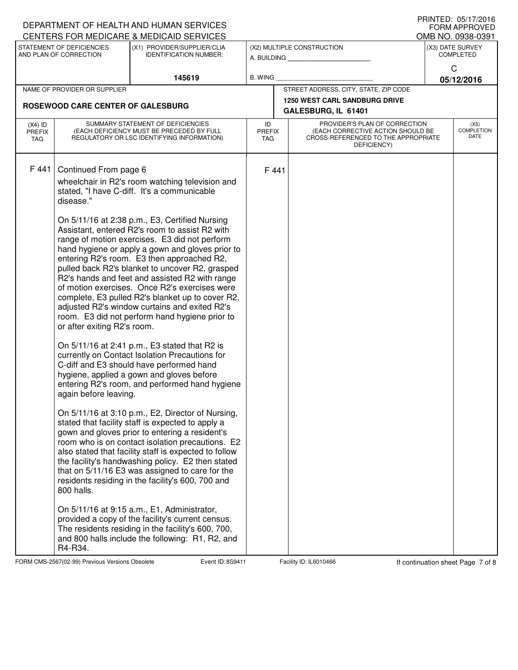| DEPARTMENT OF HEALTH AND HUMAN SERVICES                                                                                                                                                                                                                                                                                                                                                                                                                                                                                                                                                                                                                                                                                                                                                                                                                                                                                                                                                                                                                                                                                                                                                                                                                                                                                                                                                                                                                                                                                                         |                                                                                              |                                                                                                                                       |                                          |                                                                                                                                                   | $F \cap \mathbb{N}$ i $E \cup \ldots \cup \cup \cup \cup \cup \cup \cup \cup \cup$<br><b>FORM APPROVED</b> |  |
|-------------------------------------------------------------------------------------------------------------------------------------------------------------------------------------------------------------------------------------------------------------------------------------------------------------------------------------------------------------------------------------------------------------------------------------------------------------------------------------------------------------------------------------------------------------------------------------------------------------------------------------------------------------------------------------------------------------------------------------------------------------------------------------------------------------------------------------------------------------------------------------------------------------------------------------------------------------------------------------------------------------------------------------------------------------------------------------------------------------------------------------------------------------------------------------------------------------------------------------------------------------------------------------------------------------------------------------------------------------------------------------------------------------------------------------------------------------------------------------------------------------------------------------------------|----------------------------------------------------------------------------------------------|---------------------------------------------------------------------------------------------------------------------------------------|------------------------------------------|---------------------------------------------------------------------------------------------------------------------------------------------------|------------------------------------------------------------------------------------------------------------|--|
| (X1) PROVIDER/SUPPLIER/CLIA<br><b>IDENTIFICATION NUMBER:</b>                                                                                                                                                                                                                                                                                                                                                                                                                                                                                                                                                                                                                                                                                                                                                                                                                                                                                                                                                                                                                                                                                                                                                                                                                                                                                                                                                                                                                                                                                    |                                                                                              |                                                                                                                                       |                                          | (X3) DATE SURVEY<br><b>COMPLETED</b>                                                                                                              |                                                                                                            |  |
| 145619                                                                                                                                                                                                                                                                                                                                                                                                                                                                                                                                                                                                                                                                                                                                                                                                                                                                                                                                                                                                                                                                                                                                                                                                                                                                                                                                                                                                                                                                                                                                          |                                                                                              |                                                                                                                                       |                                          | C<br>05/12/2016                                                                                                                                   |                                                                                                            |  |
|                                                                                                                                                                                                                                                                                                                                                                                                                                                                                                                                                                                                                                                                                                                                                                                                                                                                                                                                                                                                                                                                                                                                                                                                                                                                                                                                                                                                                                                                                                                                                 |                                                                                              |                                                                                                                                       |                                          |                                                                                                                                                   |                                                                                                            |  |
| ROSEWOOD CARE CENTER OF GALESBURG                                                                                                                                                                                                                                                                                                                                                                                                                                                                                                                                                                                                                                                                                                                                                                                                                                                                                                                                                                                                                                                                                                                                                                                                                                                                                                                                                                                                                                                                                                               |                                                                                              |                                                                                                                                       |                                          |                                                                                                                                                   |                                                                                                            |  |
| SUMMARY STATEMENT OF DEFICIENCIES<br>$(X4)$ ID<br>(EACH DEFICIENCY MUST BE PRECEDED BY FULL<br><b>PREFIX</b><br>REGULATORY OR LSC IDENTIFYING INFORMATION)                                                                                                                                                                                                                                                                                                                                                                                                                                                                                                                                                                                                                                                                                                                                                                                                                                                                                                                                                                                                                                                                                                                                                                                                                                                                                                                                                                                      |                                                                                              | PROVIDER'S PLAN OF CORRECTION<br>ID<br>(EACH CORRECTIVE ACTION SHOULD BE<br>CROSS-REFERENCED TO THE APPROPRIATE<br>TAG<br>DEFICIENCY) |                                          |                                                                                                                                                   | (X5)<br><b>COMPLETION</b><br>DATE                                                                          |  |
| wheelchair in R2's room watching television and<br>stated, "I have C-diff. It's a communicable<br>On 5/11/16 at 2:38 p.m., E3, Certified Nursing<br>Assistant, entered R2's room to assist R2 with<br>range of motion exercises. E3 did not perform<br>hand hygiene or apply a gown and gloves prior to<br>entering R2's room. E3 then approached R2,<br>pulled back R2's blanket to uncover R2, grasped<br>R2's hands and feet and assisted R2 with range<br>of motion exercises. Once R2's exercises were<br>complete, E3 pulled R2's blanket up to cover R2,<br>adjusted R2's window curtains and exited R2's<br>room. E3 did not perform hand hygiene prior to<br>or after exiting R2's room.<br>On 5/11/16 at 2:41 p.m., E3 stated that R2 is<br>currently on Contact Isolation Precautions for<br>C-diff and E3 should have performed hand<br>hygiene, applied a gown and gloves before<br>entering R2's room, and performed hand hygiene<br>On 5/11/16 at 3:10 p.m., E2, Director of Nursing,<br>stated that facility staff is expected to apply a<br>gown and gloves prior to entering a resident's<br>room who is on contact isolation precautions. E2<br>also stated that facility staff is expected to follow<br>the facility's handwashing policy. E2 then stated<br>that on 5/11/16 E3 was assigned to care for the<br>residents residing in the facility's 600, 700 and<br>On 5/11/16 at 9:15 a.m., E1, Administrator,<br>provided a copy of the facility's current census.<br>The residents residing in the facility's 600, 700, |                                                                                              |                                                                                                                                       |                                          |                                                                                                                                                   |                                                                                                            |  |
|                                                                                                                                                                                                                                                                                                                                                                                                                                                                                                                                                                                                                                                                                                                                                                                                                                                                                                                                                                                                                                                                                                                                                                                                                                                                                                                                                                                                                                                                                                                                                 | CENTERS FOR MEDICARE & MEDICAID SERVICES<br>and 800 halls include the following: R1, R2, and |                                                                                                                                       | <b>B. WING</b><br><b>PREFIX</b><br>F 441 | (X2) MULTIPLE CONSTRUCTION<br>A. BUILDING<br>STREET ADDRESS, CITY, STATE, ZIP CODE<br><b>1250 WEST CARL SANDBURG DRIVE</b><br>GALESBURG, IL 61401 | OMB NO. 0938-0391                                                                                          |  |

FORM CMS-2567(02-99) Previous Versions Obsolete **8the Steam Event ID: 8S9411** Facility ID: IL6010466 If continuation sheet Page 7 of 8